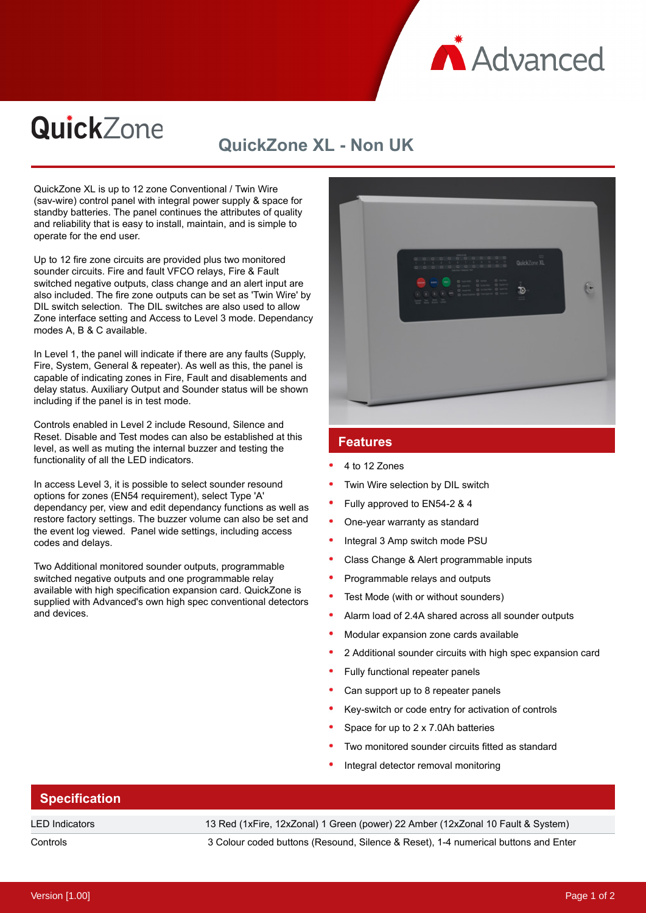

# QuickZone

### **QuickZone XL - Non UK**

QuickZone XL is up to 12 zone Conventional / Twin Wire (sav-wire) control panel with integral power supply & space for standby batteries. The panel continues the attributes of quality and reliability that is easy to install, maintain, and is simple to operate for the end user.

Up to 12 fire zone circuits are provided plus two monitored sounder circuits. Fire and fault VFCO relays, Fire & Fault switched negative outputs, class change and an alert input are also included. The fire zone outputs can be set as 'Twin Wire' by DIL switch selection. The DIL switches are also used to allow Zone interface setting and Access to Level 3 mode. Dependancy modes A, B & C available.

In Level 1, the panel will indicate if there are any faults (Supply, Fire, System, General & repeater). As well as this, the panel is capable of indicating zones in Fire, Fault and disablements and delay status. Auxiliary Output and Sounder status will be shown including if the panel is in test mode.

Controls enabled in Level 2 include Resound, Silence and Reset. Disable and Test modes can also be established at this level, as well as muting the internal buzzer and testing the functionality of all the LED indicators.

In access Level 3, it is possible to select sounder resound options for zones (EN54 requirement), select Type 'A' dependancy per, view and edit dependancy functions as well as restore factory settings. The buzzer volume can also be set and the event log viewed. Panel wide settings, including access codes and delays.

Two Additional monitored sounder outputs, programmable switched negative outputs and one programmable relay available with high specification expansion card. QuickZone is supplied with Advanced's own high spec conventional detectors and devices.



#### **Features**

- 4 to 12 Zones
- Twin Wire selection by DIL switch
- Fully approved to EN54-2 & 4
- One-year warranty as standard
- Integral 3 Amp switch mode PSU
- Class Change & Alert programmable inputs
- Programmable relays and outputs
- Test Mode (with or without sounders)
- Alarm load of 2.4A shared across all sounder outputs
- Modular expansion zone cards available
- 2 Additional sounder circuits with high spec expansion card
- Fully functional repeater panels
- Can support up to 8 repeater panels
- Key-switch or code entry for activation of controls
- Space for up to 2 x 7.0Ah batteries
- Two monitored sounder circuits fitted as standard
- Integral detector removal monitoring

## **Specification** LED Indicators 13 Red (1xFire, 12xZonal) 1 Green (power) 22 Amber (12xZonal 10 Fault & System)

Controls 3 Colour coded buttons (Resound, Silence & Reset), 1-4 numerical buttons and Enter